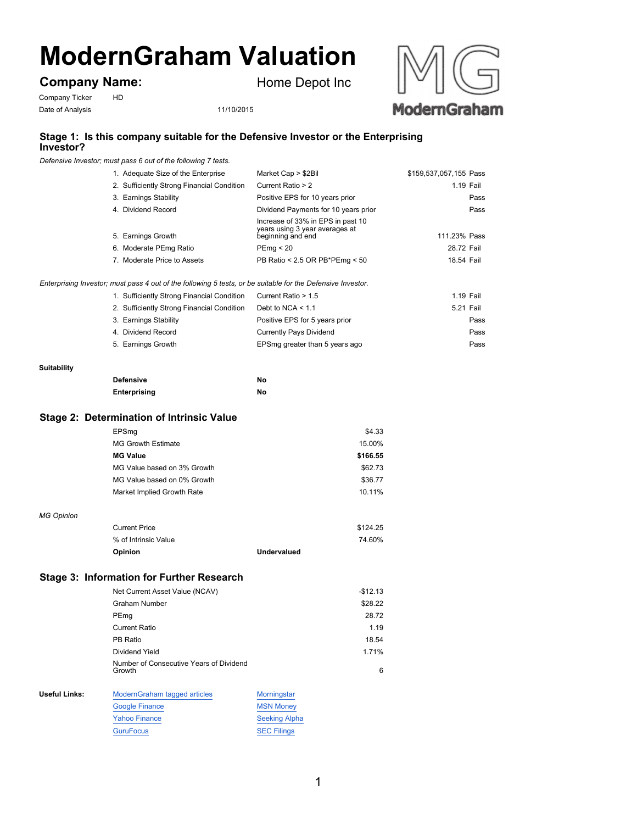# **ModernGraham Valuation**

**Company Name:**

Company Ticker HD Date of Analysis 11/10/2015

Home Depot Inc





## **Stage 1: Is this company suitable for the Defensive Investor or the Enterprising Investor?**

*Defensive Investor; must pass 6 out of the following 7 tests.*

| 1. Adequate Size of the Enterprise         | Market Cap > \$2Bil                                                                      | \$159,537,057,155 Pass |
|--------------------------------------------|------------------------------------------------------------------------------------------|------------------------|
| 2. Sufficiently Strong Financial Condition | Current Ratio > 2                                                                        | 1.19 Fail              |
| 3. Earnings Stability                      | Positive EPS for 10 years prior                                                          | Pass                   |
| 4. Dividend Record                         | Dividend Payments for 10 years prior                                                     | Pass                   |
| 5. Earnings Growth                         | Increase of 33% in EPS in past 10<br>years using 3 year averages at<br>beginning and end | 111.23% Pass           |
| 6. Moderate PEmg Ratio                     | PEmq < 20                                                                                | 28.72 Fail             |
| 7. Moderate Price to Assets                | PB Ratio < 2.5 OR PB*PEmg < 50                                                           | 18.54 Fail             |
|                                            |                                                                                          |                        |

*Enterprising Investor; must pass 4 out of the following 5 tests, or be suitable for the Defensive Investor.*

|                       | 1. Sufficiently Strong Financial Condition | Current Ratio > 1.5<br>1.19 Fail       |  |
|-----------------------|--------------------------------------------|----------------------------------------|--|
|                       | 2. Sufficiently Strong Financial Condition | Debt to NCA $< 1.1$<br>5.21 Fail       |  |
| 3. Earnings Stability |                                            | Positive EPS for 5 years prior<br>Pass |  |
| 4. Dividend Record    |                                            | Currently Pays Dividend<br>Pass        |  |
| 5. Earnings Growth    |                                            | EPSmg greater than 5 years ago<br>Pass |  |

#### **Suitability**

| <b>Defensive</b> | No |
|------------------|----|
| Enterprising     | No |

### **Stage 2: Determination of Intrinsic Value**

|                      | EPSmq                                             | \$4.33               |  |
|----------------------|---------------------------------------------------|----------------------|--|
|                      | <b>MG Growth Estimate</b>                         | 15.00%               |  |
|                      | <b>MG Value</b>                                   | \$166.55             |  |
|                      | MG Value based on 3% Growth                       | \$62.73              |  |
|                      | MG Value based on 0% Growth                       | \$36.77              |  |
|                      | Market Implied Growth Rate                        | 10.11%               |  |
|                      |                                                   |                      |  |
| <b>MG Opinion</b>    |                                                   |                      |  |
|                      | <b>Current Price</b>                              | \$124.25             |  |
|                      | % of Intrinsic Value                              | 74.60%               |  |
|                      | Opinion                                           | Undervalued          |  |
|                      |                                                   |                      |  |
|                      | <b>Stage 3: Information for Further Research</b>  |                      |  |
|                      |                                                   |                      |  |
|                      | Net Current Asset Value (NCAV)                    | $-$12.13$            |  |
|                      | <b>Graham Number</b>                              | \$28.22              |  |
|                      | PEmg                                              | 28.72                |  |
|                      | <b>Current Ratio</b>                              | 1.19                 |  |
|                      | PB Ratio                                          | 18.54                |  |
|                      | Dividend Yield                                    | 1.71%                |  |
|                      | Number of Consecutive Years of Dividend<br>Growth | 6                    |  |
|                      |                                                   |                      |  |
| <b>Useful Links:</b> | ModernGraham tagged articles                      | Morningstar          |  |
|                      | <b>Google Finance</b>                             | <b>MSN Money</b>     |  |
|                      | <b>Yahoo Finance</b>                              | <b>Seeking Alpha</b> |  |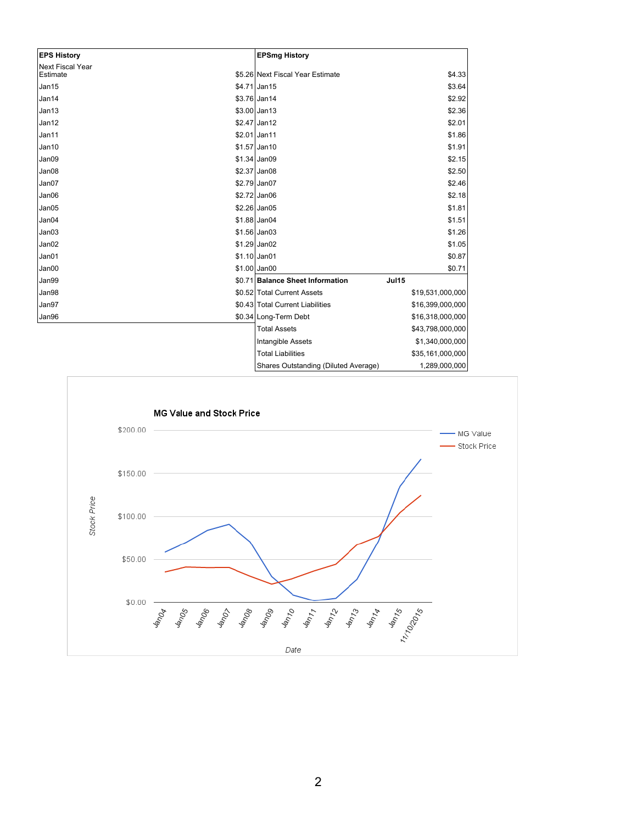| <b>EPS History</b>                  | <b>EPSmg History</b>                             |                  |
|-------------------------------------|--------------------------------------------------|------------------|
| <b>Next Fiscal Year</b><br>Estimate | \$5.26 Next Fiscal Year Estimate                 | \$4.33           |
| Jan15                               | \$4.71 Jan15                                     | \$3.64           |
| Jan14                               | $$3.76$ Jan14                                    | \$2.92           |
| Jan13                               | $$3.00$ Jan13                                    | \$2.36           |
| Jan12                               | \$2.47 Jan12                                     | \$2.01           |
| Jan11                               | $$2.01$ Jan11                                    | \$1.86           |
| Jan10                               | \$1.57 Jan10                                     | \$1.91           |
| Jan09                               | $$1.34$ Jan09                                    | \$2.15           |
| Jan08                               | $$2.37$ Jan08                                    | \$2.50           |
| Jan07                               | \$2.79 Jan07                                     | \$2.46           |
| Jan06                               | $$2.72$ Jan06                                    | \$2.18           |
| Jan05                               | $$2.26$ Jan05                                    | \$1.81           |
| Jan04                               | $$1.88$ Jan04                                    | \$1.51           |
| Jan03                               | $$1.56$ Jan03                                    | \$1.26           |
| Jan02                               | $$1.29$ Jan02                                    | \$1.05           |
| Jan01                               | $$1.10$ Jan01                                    | \$0.87           |
| Jan00                               | \$1.00 Jan00                                     | \$0.71           |
| Jan99                               | \$0.71 Balance Sheet Information<br><b>Jul15</b> |                  |
| Jan98                               | \$0.52 Total Current Assets                      | \$19,531,000,000 |
| Jan97                               | \$0.43 Total Current Liabilities                 | \$16,399,000,000 |
| Jan96                               | \$0.34 Long-Term Debt                            | \$16,318,000,000 |
|                                     | <b>Total Assets</b>                              | \$43,798,000,000 |
|                                     | Intangible Assets                                | \$1,340,000,000  |
|                                     | <b>Total Liabilities</b>                         | \$35,161,000,000 |